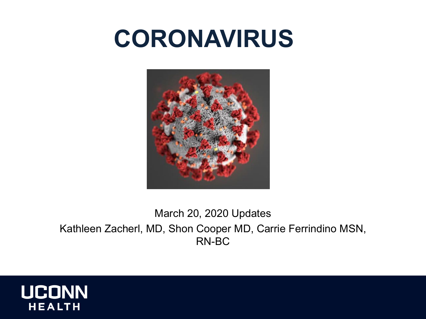## **CORONAVIRUS**



#### March 20, 2020 Updates Kathleen Zacherl, MD, Shon Cooper MD, Carrie Ferrindino MSN, RN-BC

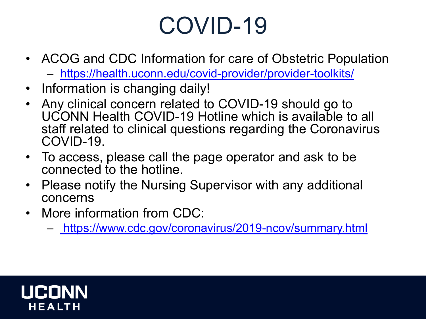## COVID-19

- ACOG and CDC Information for care of Obstetric Population – <https://health.uconn.edu/covid-provider/provider-toolkits/>
- Information is changing daily!
- Any clinical concern related to COVID-19 should go to UCONN Health COVID-19 Hotline which is available to all staff related to clinical questions regarding the Coronavirus COVID-19.
- To access, please call the page operator and ask to be connected to the hotline.
- Please notify the Nursing Supervisor with any additional concerns
- More information from CDC:
	- <https://www.cdc.gov/coronavirus/2019-ncov/summary.html>

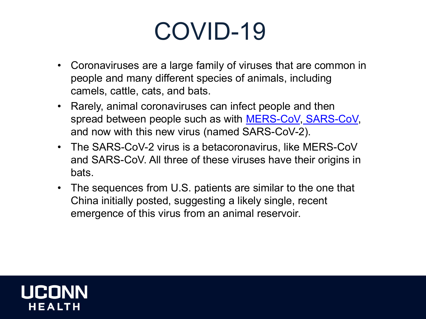## COVID-19

- Coronaviruses are a large family of viruses that are common in people and many different species of animals, including camels, cattle, cats, and bats.
- Rarely, animal coronaviruses can infect people and then spread between people such as with **[MERS-CoV,](https://www.cdc.gov/coronavirus/mers/index.html) [SARS-CoV,](https://www.cdc.gov/sars/index.html)** and now with this new virus (named SARS-CoV-2).
- The SARS-CoV-2 virus is a betacoronavirus, like MERS-CoV and SARS-CoV. All three of these viruses have their origins in bats.
- The sequences from U.S. patients are similar to the one that China initially posted, suggesting a likely single, recent emergence of this virus from an animal reservoir.

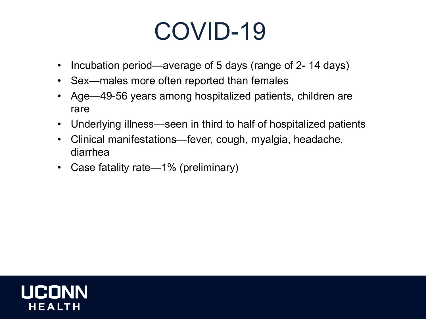## COVID-19

- Incubation period—average of 5 days (range of 2-14 days)
- Sex—males more often reported than females
- Age—49-56 years among hospitalized patients, children are rare
- Underlying illness—seen in third to half of hospitalized patients
- Clinical manifestations—fever, cough, myalgia, headache, diarrhea
- Case fatality rate—1% (preliminary)

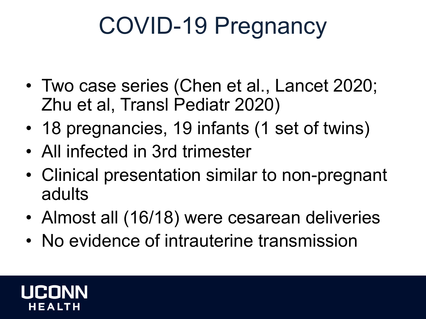## COVID-19 Pregnancy

- Two case series (Chen et al., Lancet 2020; Zhu et al, Transl Pediatr 2020)
- 18 pregnancies, 19 infants (1 set of twins)
- All infected in 3rd trimester
- Clinical presentation similar to non-pregnant adults
- Almost all (16/18) were cesarean deliveries
- No evidence of intrauterine transmission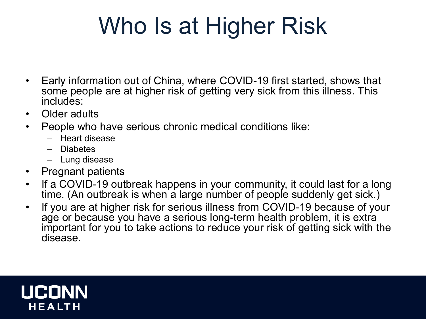## Who Is at Higher Risk

- Early information out of China, where COVID-19 first started, shows that some people are at higher risk of getting very sick from this illness. This includes:
- Older adults
- People who have serious chronic medical conditions like:
	- Heart disease
	- Diabetes
	- Lung disease
- Pregnant patients
- If a COVID-19 outbreak happens in your community, it could last for a long time. (An outbreak is when a large number of people suddenly get sick.)
- If you are at higher risk for serious illness from COVID-19 because of your age or because you have a serious long-term health problem, it is extra important for you to take actions to reduce your risk of getting sick with the disease.

# HEALTH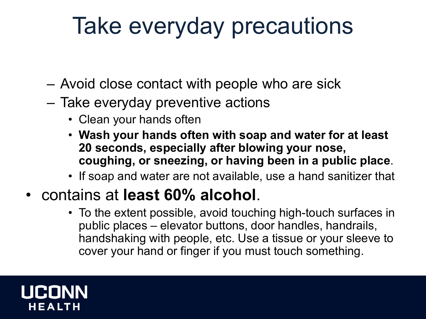## Take everyday precautions

- Avoid close contact with people who are sick
- Take everyday preventive actions
	- Clean your hands often
	- **Wash your hands often with soap and water for at least 20 seconds, especially after blowing your nose, coughing, or sneezing, or having been in a public place**.
	- If soap and water are not available, use a hand sanitizer that
- contains at **least 60% alcohol**.
	- To the extent possible, avoid touching high-touch surfaces in public places – elevator buttons, door handles, handrails, handshaking with people, etc. Use a tissue or your sleeve to cover your hand or finger if you must touch something.

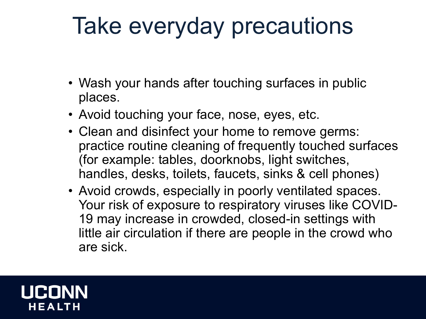## Take everyday precautions

- Wash your hands after touching surfaces in public places.
- Avoid touching your face, nose, eyes, etc.
- Clean and disinfect your home to remove germs: practice routine cleaning of frequently touched surfaces (for example: tables, doorknobs, light switches, handles, desks, toilets, faucets, sinks & cell phones)
- Avoid crowds, especially in poorly ventilated spaces. Your risk of exposure to respiratory viruses like COVID-19 may increase in crowded, closed-in settings with little air circulation if there are people in the crowd who are sick.

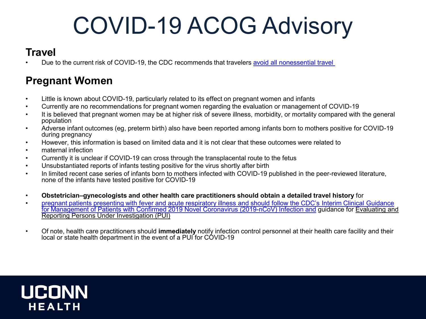## COVID-19 ACOG Advisory

#### **Travel**

• Due to the current risk of COVID-19, the CDC recommends that travelers [avoid all nonessential travel](https://wwwnc.cdc.gov/travel/notices/warning/novel-coronavirus-china)

#### **Pregnant Women**

- Little is known about COVID-19, particularly related to its effect on pregnant women and infants
- Currently are no recommendations for pregnant women regarding the evaluation or management of COVID-19
- It is believed that pregnant women may be at higher risk of severe illness, morbidity, or mortality compared with the general population
- Adverse infant outcomes (eg, preterm birth) also have been reported among infants born to mothers positive for COVID-19 during pregnancy
- However, this information is based on limited data and it is not clear that these outcomes were related to
- maternal infection
- Currently it is unclear if COVID-19 can cross through the transplacental route to the fetus
- Unsubstantiated reports of infants testing positive for the virus shortly after birth
- In limited recent case series of infants born to mothers infected with COVID-19 published in the peer-reviewed literature, none of the infants have tested positive for COVID-19
- **Obstetrician–gynecologists and other health care practitioners should obtain a detailed travel history** for
- [pregnant patients presenting with fever and acute respiratory illness and should follow the CDC's Interim Clinical](https://www.cdc.gov/coronavirus/2019-ncov/hcp/clinical-guidance-management-patients.html) Guidance for Management of Patients with Confirmed 2019 Novel Coronavirus (2019-nCoV) Infection and guidance for Evaluating and Reporting Persons Under Investigation (PUI)
- Of note, health care practitioners should **immediately** notify infection control personnel at their health care facility and their local or state health department in the event of a PUI for COVID-19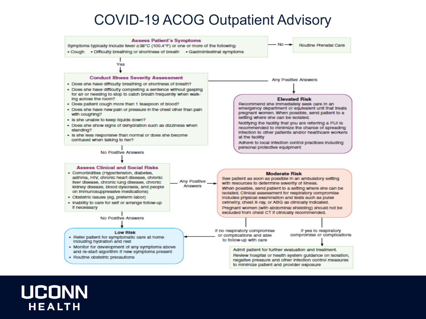#### COVID-19 ACOG Outpatient Advisory

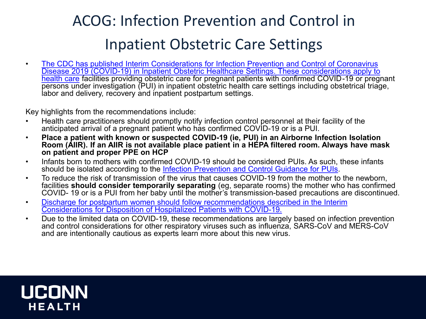#### ACOG: Infection Prevention and Control in Inpatient Obstetric Care Settings

• The CDC has published Interim Considerations for Infection Prevention and Control of Coronavirus [Disease 2019 \(COVID-19\) in Inpatient Obstetric Healthcare Settings. These considerations apply to](https://www.cdc.gov/coronavirus/2019-ncov/hcp/inpatient-obstetric-healthcare-guidance.html)  health care facilities providing obstetric care for pregnant patients with confirmed COVID-19 or pregnant persons under investigation (PUI) in inpatient obstetric health care settings including obstetrical triage, labor and delivery, recovery and inpatient postpartum settings.

Key highlights from the recommendations include:

- Health care practitioners should promptly notify infection control personnel at their facility of the anticipated arrival of a pregnant patient who has confirmed COVID-19 or is a PUI.
- **Place a patient with known or suspected COVID-19 (ie, PUI) in an Airborne Infection Isolation Room (AIIR). If an AIIR is not available place patient in a HEPA filtered room. Always have mask on patient and proper PPE on HCP**
- Infants born to mothers with confirmed COVID-19 should be considered PUIs. As such, these infants should be isolated according to the [Infection Prevention and Control Guidance for PUIs](https://www.cdc.gov/coronavirus/2019-nCoV/hcp/infection-control.html).
- To reduce the risk of transmission of the virus that causes COVID-19 from the mother to the newborn, facilities **should consider temporarily separating** (eg, separate rooms) the mother who has confirmed COVID- 19 or is a PUI from her baby until the mother's transmission-based precautions are discontinued.
- [Discharge for postpartum women should follow recommendations described in the Interim](https://www.cdc.gov/coronavirus/2019-ncov/hcp/disposition-hospitalized-patients.html) Considerations for Disposition of Hospitalized Patients with COVID-19.
- Due to the limited data on COVID-19, these recommendations are largely based on infection prevention and control considerations for other respiratory viruses such as influenza, SARS-CoV and MERS-CoV and are intentionally cautious as experts learn more about this new virus.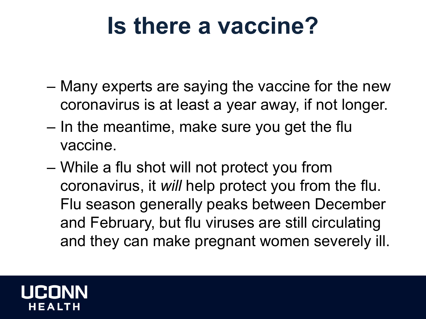### **Is there a vaccine?**

- Many experts are saying the vaccine for the new coronavirus is at least a year away, if not longer.
- In the meantime, make sure you get the flu vaccine.
- While a flu shot will not protect you from coronavirus, it *will* help protect you from the flu. Flu season generally peaks between December and February, but flu viruses are still circulating and they can make pregnant women severely ill.

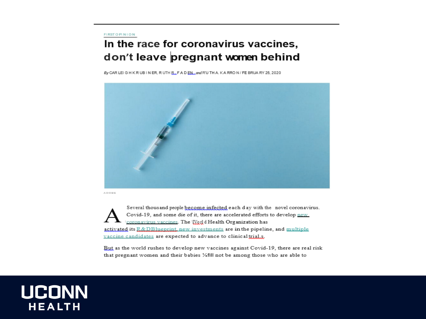#### **FIRST OPINION**

#### In the race for coronavirus vaccines, don't leave pregnant women behind

By CAR LEIGHKRUBINER, RUTH R., FADEN, and RUTHAKARRON/FEBRUARY 25, 2020



**ADORE** 

Several thousand people become infected each day with the novel coronavirus. Covid-19, and some die of it, there are accelerated efforts to develop new coronavirus vaccines. The *Werl* d Health Organization has activated its R&DBluenrint, new investments are in the pipeline, and multiple vaccine candidates are expected to advance to clinical trials.

But as the world rushes to develop new vaccines against Covid-19, there are real risk that pregnant women and their babies ¼fill not be among those who are able to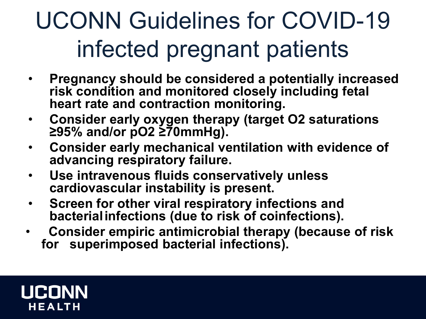## UCONN Guidelines for COVID-19 infected pregnant patients

- **Pregnancy should be considered a potentially increased risk condition and monitored closely including fetal heart rate and contraction monitoring.**
- **Consider early oxygen therapy (target O2 saturations ≥95% and/or pO2 ≥70mmHg).**
- **Consider early mechanical ventilation with evidence of advancing respiratory failure.**
- **Use intravenous fluids conservatively unless cardiovascular instability is present.**
- **Screen for other viral respiratory infections and bacterialinfections (due to risk of coinfections).**
- **Consider empiric antimicrobial therapy (because of risk for superimposed bacterial infections).**

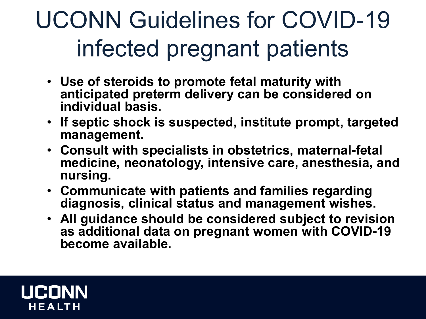## UCONN Guidelines for COVID-19 infected pregnant patients

- **Use of steroids to promote fetal maturity with anticipated preterm delivery can be considered on individual basis.**
- **If septic shock is suspected, institute prompt, targeted management.**
- **Consult with specialists in obstetrics, maternal-fetal medicine, neonatology, intensive care, anesthesia, and nursing.**
- **Communicate with patients and families regarding diagnosis, clinical status and management wishes.**
- **All guidance should be considered subject to revision as additional data on pregnant women with COVID-19 become available.**

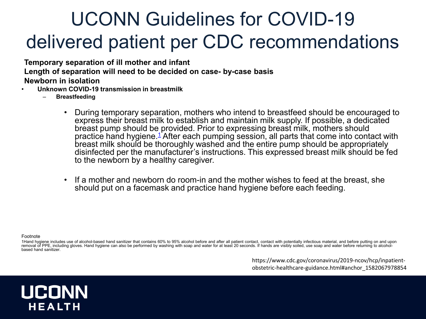#### UCONN Guidelines for COVID-19 delivered patient per CDC recommendations

**Temporary separation of ill mother and infant Length of separation will need to be decided on case- by-case basis Newborn in isolation**

- **Unknown COVID-19 transmission in breastmilk**
	- **Breastfeeding**
		- During temporary separation, mothers who intend to breastfeed should be encouraged to express their breast milk to establish and maintain milk supply. If possible, a dedicated breast pump should be provided. Prior to expressing breast milk, mothers should practice hand hygiene.<sup>[1](https://www.cdc.gov/coronavirus/2019-ncov/hcp/inpatient-obstetric-healthcare-guidance.html#f1)</sup> After each pumping session, all parts that come into contact with breast milk should be thoroughly washed and the entire pump should be appropriately disinfected per the manufacturer's instructions. This expressed breast milk should be fed to the newborn by a healthy caregiver.
		- If a mother and newborn do room-in and the mother wishes to feed at the breast, she should put on a facemask and practice hand hygiene before each feeding.

Footnote

1Hand hygiene includes use of alcohol-based hand sanitizer that contains 60% to 95% alcohol before and after all patient contact, contact with potentially infectious material, and before putting on and upon<br>removal of PPE,

https://www.cdc.gov/coronavirus/2019-ncov/hcp/inpatientobstetric-healthcare-guidance.html#anchor\_1582067978854

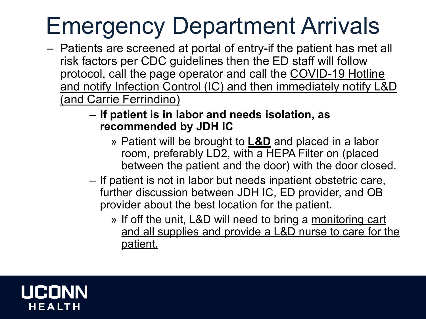## Emergency Department Arrivals

- Patients are screened at portal of entry-if the patient has met all risk factors per CDC guidelines then the ED staff will follow protocol, call the page operator and call the COVID-19 Hotline and notify Infection Control (IC) and then immediately notify L&D (and Carrie Ferrindino)
	- **If patient is in labor and needs isolation, as recommended by JDH IC**
		- » Patient will be brought to **L&D** and placed in a labor room, preferably LD2, with a HEPA Filter on (placed between the patient and the door) with the door closed.
	- If patient is not in labor but needs inpatient obstetric care, further discussion between JDH IC, ED provider, and OB provider about the best location for the patient.
		- » If off the unit, L&D will need to bring a monitoring cart and all supplies and provide a L&D nurse to care for the patient.

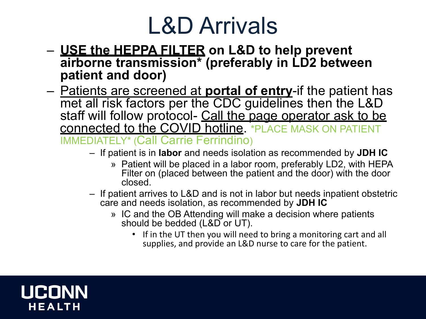### L&D Arrivals

- **USE the HEPPA FILTER on L&D to help prevent airborne transmission\* (preferably in LD2 between patient and door)**
- Patients are screened at **portal of entry**-if the patient has met all risk factors per the CDC guidelines then the L&D staff will follow protocol- Call the page operator ask to be connected to the COVID hotline. \*PLACE MASK ON PATIENT IMMEDIATELY\* (Call Carrie Ferrindino)
	- If patient is in **labor** and needs isolation as recommended by **JDH IC**
		- » Patient will be placed in a labor room, preferably LD2, with HEPA Filter on (placed between the patient and the door) with the door closed.
	- If patient arrives to L&D and is not in labor but needs inpatient obstetric care and needs isolation, as recommended by **JDH IC**
		- » IC and the OB Attending will make a decision where patients should be bedded (L&D or UT).
			- If in the UT then you will need to bring a monitoring cart and all supplies, and provide an L&D nurse to care for the patient.

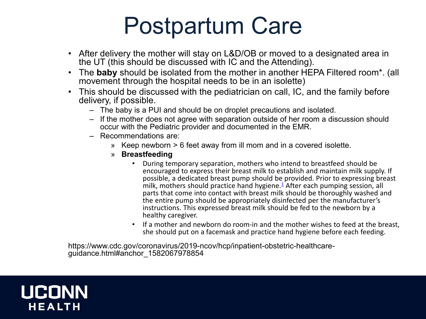### Postpartum Care

- After delivery the mother will stay on L&D/OB or moved to a designated area in the UT (this should be discussed with IC and the Attending).
- The **baby** should be isolated from the mother in another HEPA Filtered room\*. (all movement through the hospital needs to be in an isolette)
- This should be discussed with the pediatrician on call, IC, and the family before delivery, if possible.
	- The baby is a PUI and should be on droplet precautions and isolated.
	- If the mother does not agree with separation outside of her room a discussion should occur with the Pediatric provider and documented in the EMR.
	- Recommendations are:
		- » Keep newborn > 6 feet away from ill mom and in a covered isolette.
		- » **Breastfeeding**
			- During temporary separation, mothers who intend to breastfeed should be encouraged to express their breast milk to establish and maintain milk supply. If possible, a dedicated breast pump should be provided. Prior to expressing breast milk, mothers should practice hand hygiene. $\frac{1}{2}$  After each pumping session, all parts that come into contact with breast milk should be thoroughly washed and the entire pump should be appropriately disinfected per the manufacturer's instructions. This expressed breast milk should be fed to the newborn by a healthy caregiver.
			- If a mother and newborn do room-in and the mother wishes to feed at the breast, she should put on a facemask and practice hand hygiene before each feeding.

https://www.cdc.gov/coronavirus/2019-ncov/hcp/inpatient-obstetric-healthcare- guidance.html#anchor\_1582067978854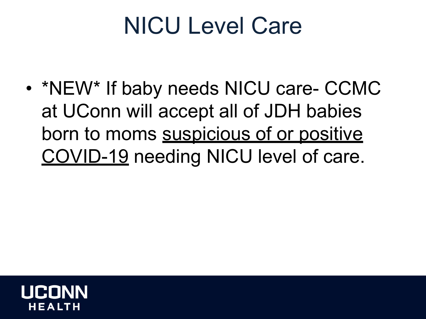### NICU Level Care

• \*NEW\* If baby needs NICU care- CCMC at UConn will accept all of JDH babies born to moms suspicious of or positive COVID-19 needing NICU level of care.

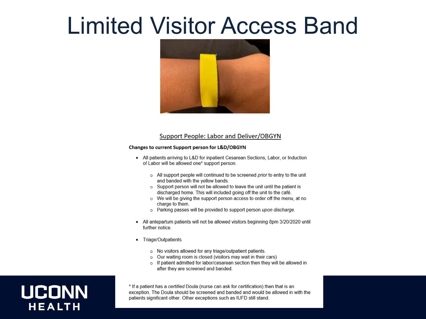#### Limited Visitor Access Band



#### Support People: Labor and Deliver/OBGYN

#### Changes to current Support person for L&D/OBGYN

- All patients arriving to L&D for inpatient Cesarean Sections, Labor, or Induction of Labor will be allowed one\* support person.
	- o All support people will continued to be screened prior to entry to the unit and banded with the yellow bands.
	- Support person will not be allowed to leave the unit until the patient is discharged home. This will included going off the unit to the café.
	- o We will be giving the support person access to order off the menu, at no charge to them.
	- o Parking passes will be provided to support person upon discharge.
- All antepartum patients will not be allowed visitors beginning 8pm 3/20/2020 until further notice.
- Triage/Outpatients
	- o No visitors allowed for any triage/outpatient patients.
	- $\circ$  Our waiting room is closed (visitors may wait in their cars)
	- o If patient admitted for labor/cesarean section then they will be allowed in after they are screened and banded.

#### **UCONN HEALTH**

\* If a patient has a certified Doula (nurse can ask for certification) then that is an exception. The Doula should be screened and banded and would be allowed in with the patients significant other. Other exceptions such as IUFD still stand.